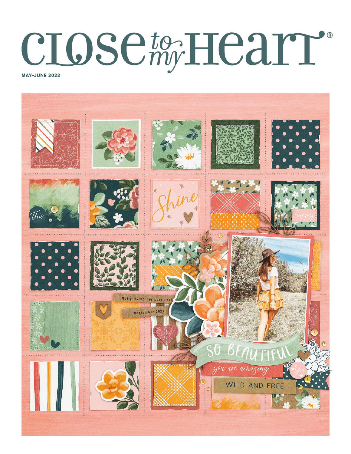# **CIOSE to HEATT**



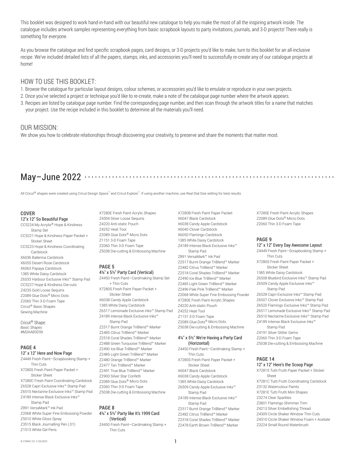This booklet was designed to work hand-in-hand with our beautiful new catalogue to help you make the most of all the inspiring artwork inside. The catalogue includes artwork samples representing everything from basic scrapbook layouts to party invitations, journals, and 3-D projects! There really is something for everyone.

As you browse the catalogue and find specific scrapbook pages, card designs, or 3-D projects you'd like to make, turn to this booklet for an all-inclusive recipe. We've included detailed lists of all the papers, stamps, inks, and accessories you'll need to successfully re-create any of our catalogue projects at home!

# HOW TO USE THIS BOOKLET:

- 1. Browse the cataloque for particular layout designs, colour schemes, or accessories you'd like to emulate or reproduce in your own projects.
- 2. Once you've selected a project or technique you'd like to re-create, make a note of the catalogue page number where the artwork appears.
- 3. Recipes are listed by catalogue page number. Find the corresponding page number, and then scan through the artwork titles for a name that matches your project. Use the recipe included in this booklet to determine all the materials you'll need.

# OUR MISSION:

We show you how to celebrate relationships through discovering your creativity, to preserve and share the moments that matter most.

# May–June 2022

All Cricut® shapes were created using Cricut Design Space™ and Cricut Explore™. If using another machine, use Real Dial Size setting for best results.

#### **COVER**

#### 12"x 12" So Beautiful Page

CC5224 My Acrylix® Hope & Kindness Stamp Set CC5221 Hope & Kindness Paper Packet + Sticker Sheet CC5223 Hope & Kindness Coordinating Cardstock X6036 Ballerina Cardstock X6055 Desert Rose Cardstock X6063 Papaya Cardstock 1385 White Daisy Cardstock Z6533 Harbour Exclusive Inks™ Stamp Pad CC5227 Hope & Kindness Die-cuts Z4235 Gold Loose Sequins Z2089 Glue Dots® Micro Dots Z2060 Thin 3-D Foam Tape Cricut® Basic Shapes Sewing Machine

Cricut® Shape: *Basic Shapes #M2AAB3D56*

## **PAGE 4** 12" x 12" Here and Now Page

Z4449 Fresh Paint—Scrapbooking Stamp + Thin Cuts X7280S Fresh Paint Paper Packet + Sticker Sheet X7280C Fresh Paint Coordinating Cardstock Z6528 Capri Exclusive Inks™ Stamp Pad Z6510 Nectarine Exclusive Inks™ Stamp Pad Z5038 Die-cutting & Embossing Machine Z4189 Intense Black Exclusive Inks™ Stamp Pad Z891 VersaMark™ Ink Pad Z2068 White Super Fine Embossing Powder Z5010 White Gloss Spray Z3515 Black Journalling Pen (.01)

X7280E Fresh Paint Acrylic Shapes Z4304 Silver Loose Sequins Z4220 Anti-static Pouch Z4252 Heat Tool Z2089 Glue Dots® Micro Dots Z1151 3-D Foam Tape Z2060 Thin 3-D Foam Tape Z5038 Die-cutting & Embossing Machine

#### **PAGE 5** 4¼" x 5½" Party Card (Vertical)

Z4450 Fresh Paint—Cardmaking Stamp Set + Thin Cuts X7280S Fresh Paint Paper Packet + Sticker Sheet X6038 Candy Apple Cardstock 1385 White Daisy Cardstock Z6517 Lemonade Exclusive Inks™ Stamp Pad Z4252 Heat Tool Z4189 Intense Black Exclusive Inks™ Stamp Pad Z2517 Burnt Orange TriBlend™ Marker Z2485 Citrus TriBlend™ Marker Z2518 Coral Shades TriBlend™ Marker Z2488 Green Turquoise TriBlend™ Marker Z2490 Ice Blue TriBlend™ Marker Z2485 Light Green TriBlend™ Marker Z2480 Orange TriBlend™ Marker Z2477 Tan TriBlend™ Marker Z2491 True Blue TriBlend™ Marker Z2900 Silver Star Confetti Z2089 Glue Dots® Micro Dots Z2060 Thin 3-D Foam Tape

## **PAGE 8**

## 4¼" x 5½" Party like It's 1999 Card (Vertical)

Z4450 Fresh Paint—Cardmaking Stamp + Thin Cuts

X7280B Fresh Paint Paper Packet X6047 Black Cardstock X6038 Candy Apple Cardstock X6040 Clover Cardstock X6050 Flamingo Cardstock 1385 White Daisy Cardstock Z4189 Intense Black Exclusive Inks™ Stamp Pad Z891 VersaMark™ Ink Pad Z2517 Burnt Orange TriBlend™ Marker Z2482 Citrus TriBlend™ Marker Z2518 Coral Shades TriBlend™ Marker Z2490 Ice Blue TriBlend™ Marker Z2485 Light Green TriBlend™ Marker Z2496 Pale Pink TriBlend™ Marker Z2068 White Super Fine Embossing Powder Z6528 Capri Exclusive Inks™ Stamp Pad X7280E Fresh Paint Acrylic Shapes Z4220 Anti-static Pouch Z1151 3-D Foam Tape Z2089 Glue Dots® Micro Dots Z5038 Die-cutting & Embossing Machine

#### 4¼" x 5½" We're Having a Party Card (Horizontal)

Z4450 Fresh Paint—Cardmaking Stamp + Thin Cuts X7280S Fresh Paint Paper Packet + Sticker Sheet X6047 Black Cardstock X6038 Candy Apple Cardstock 1385 White Daisy Cardstock Z6509 Candy Apple Exclusive Inks™ Stamp Pad Z4189 Intense Black Exclusive Inks™ Stamp Pad Z2517 Burnt Orange TriBlend™ Marker Z2482 Citrus TriBlend™ Marker Z2518 Coral Shades TriBlend™ Marker Z2478 Earth Brown TriBlend™ Marker

X7280E Fresh Paint Acrylic Shapes Z2089 Glue Dots® Micro Dots Z2060 Thin 3-D Foam Tape

## **PAGE 9**

12" x 12" Every Day Awesome Layout Z4449 Fresh Paint—Scrapbooking Stamp + Thin Cuts X7280S Fresh Paint Paper Packet + Sticker Sheet 1385 White Daisy Cardstock Z6508 Bluebird Exclusive Inks™ Stamp Pad Z6509 Candy Apple Exclusive Inks™ Stamp Pad Z6507 Clover Exclusive Inks™ Stamp Pad Z6520 Flamingo Exclusive Inks™ Stamp Pad Z6517 Lemonade Exclusive Inks™ Stamp Pad Z6510 Nectarine Exclusive Inks™ Stamp Pad Z4189 Intense Black Exclusive Inks™ Stamp Pad Z4191 Silver Glitter Gems Z2060 Thin 3-D Foam Tape Z5038 Die-cutting & Embossing Machine

#### **PAGE 14** 12" x 12" Here's the Scoop Page

X7281S Tutti Frutti Paper Packet + Sticker Sheet X7281C Tutti Frutti Coordinating Cardstock Z3132 Watercolour Paints X7281E Tutti Frutti Mini Shapes Z3274 Clear Sparkles Z3801 Flamingo Shimmer Trim Z4213 Silver Embellishing Thread Z4309 Circle Shaker Window Thin Cuts Z4310 Circle Shaker Window Foam + Acetate Z3224 Small Round Waterbrush

Z1513 White Gel Pens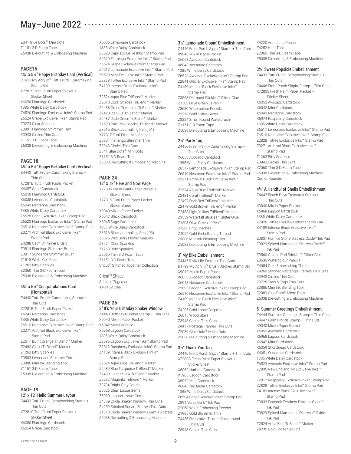# May–June 2022

Z341 Glue Dots® Mini Dots Z1151 3-D Foam Tape Z5038 Die-cutting & Embossing Machine

#### **PAGE15**

4¼" x 5½" Happy Birthday Card (Vertical) C1937 My Acrylix® Tutti Frutti—Cardmaking Stamp Set X7281S Tutti Frutti Paper Packet + Sticker Sheet X6050 Flamingo Cardstock 1385 White Daisy Cardstock Z6520 Flamingo Exclusive Inks™ Stamp Pad

Z6524 Grape Exclusive Inks™ Stamp Pad Z3274 Clear Sparkles Z3801 Flamingo Shimmer Trim Z3943 Circles Thin Cuts Z1151 3-D Foam Tape Z5038 Die-cutting & Embossing Machine

#### **PAGE 18**

#### 4¼" x 5½" Happy Birthday Card (Vertical)

Z4440 Tutti Frutti—Cardmaking Stamp + Thin Cuts X7281B Tutti Frutti Paper Packet X6057 Capri Cardstock X6050 Flamingo Cardstock X6035 Lemonade Cardstock X6043 Nectarine Cardstock 1385 White Daisy Cardstock Z6528 Capri Exclusive Inks™ Stamp Pad Z6520 Flamingo Exclusive Inks™ Stamp Pad Z6510 Nectarine Exclusive Inks™ Stamp Pad Z3271 Archival Black Exclusive Inks™ Stamp Pad Z4288 Capri Shimmer Brush Z3814 Flamingo Shimmer Brush Z3817 Sundance Shimmer Brush Z1513 White Gel Pens Z1263 Bitty Sparkles Z2060 Thin 3-D Foam Tape Z5038 Die-cutting & Embossing Machine

#### 4¼" x 5½" Congratulations Card (Horizontal)

Z4440 Tutti Frutti—Cardmaking Stamp + Thin Cuts X7281B Tutti Frutti Paper Packet X6043 Nectarine Cardstock 1385 White Daisy Cardstock Z6510 Nectarine Exclusive Inks™ Stamp Pad Z3271 Archival Black Exclusive Inks™ Stamp Pad Z2517 Burnt Orange TriBlend™ Marker Z2482 Citrus TriBlend™ Marker Z1263 Bitty Sparkles Z3803 Lemonade Shimmer Trim Z3886 Mini Ink Blending Tool Z1151 3-D Foam Tape Z5038 Die-cutting & Embossing Machine

#### **PAGE 19**

#### 12" x 12" Hello Summer Layout

Z4439 Tutti Frutti—Scrapbooking Stamp + Thin Cuts X7281S Tutti Frutti Paper Packet + Sticker Sheet X6050 Flamingo Cardstock X6054 Grape Cardstock

X6035 Lemonade Cardstock 1385 White Daisy Cardstock Z6528 Capri Exclusive Inks™ Stamp Pad Z6520 Flamingo Exclusive Inks™ Stamp Pad Z6524 Grape Exclusive Inks™ Stamp Pad Z6517 Lemonade Exclusive Inks™ Stamp Pad Z6503 Mint Exclusive Inks™ Stamp Pad Z2828 Toffee Exclusive Inks™ Stamp Pad Z4189 Intense Black Exclusive Inks™ Stamp Pad

Z2524 Aqua Blue TriBlend™ Marker Z2518 Coral Shades TriBlend™ Marker Z2488 Green Turquoise TriBlend™ Marker Z2490 Ice Blue TriBlend™ Marker Z2487 Jade Green TriBlend™ Marker Z2530 Pale Pink Shades TriBlend™ Marker Z3515 Black Journalling Pen (.01) X7281E Tutti Frutti Mini Shapes Z3801 Flamingo Shimmer Trim Z3943 Circles Thin Cuts Z341 Glue Dots® Mini Dots Z1151 3-D Foam Tape Z5038 Die-cutting & Embossing Machine

#### **PAGE 24**

# 12" x 12" Here and Now Page

X7280S Fresh Paint Paper Packet + Sticker Sheet X7281S Tutti Frutti Paper Packet + Sticker Sheet X9040 Mix-in Paper Packet X6047 Black Cardstock X6045 Sage Cardstock 1385 White Daisy Cardstock Z3516 Black Journalling Pen (.03) Z5025 Wild Berry Flower Sequins Z3274 Clear Sparkles Z1263 Bitty Sparkles Z2060 Thin 3-D Foam Tape Z1151 3-D Foam Tape Cricut® Stitched Together Collection

Cricut® Shape: *Stitched Together #M146938AB*

#### **PAGE 26** 3" It's Your Birthday Shaker Window

Z4448 Birthday Number Stamp + Thin Cuts X9040 Mix-in Paper Packet X6042 Mint Cardstock X5968 Lagoon Cardstock 1385 White Daisy Cardstock Z2895 Lagoon Exclusive Inks™ Stamp Pad Z2812 Raspberry Exclusive Inks™ Stamp Pad Z4189 Intense Black Exclusive Inks™ Stamp Pad Z2524 Aqua Blue TriBlend™ Marker Z2489 Blue Turquoise TriBlend™ Marker Z2483 Light Yellow TriBlend™ Marker Z2532 Magenta TriBlend™ Marker Z3784 Bright Bitty Beads Z5026 Clear Loose Gems Z5030 Lagoon Loose Gems Z4309 Circle Shaker Window Thin Cuts Z4259 Stitched Square Frames Thin Cuts Z4310 Circle Shaker Window Foam + Acetate Z5038 Die-cutting & Embossing Machine

#### 3½" Lemonade Sippin' Embellishment

Z4446 Front Porch Sippin' Stamp + Thin Cuts X9040 Mix-in Paper Packet X6053 Avocado Cardstock X6043 Nectarine Cardstock 1385 White Daisy Cardstock Z6523 Avocado Exclusive Inks™ Stamp Pad Z2841 Glacier Exclusive Inks™ Stamp Pad Z4189 Intense Black Exclusive Inks™ Stamp Pad Z3563 Diamond Stickles™ Glitter Glue Z1503 Olive Green LePen™ Z3630 Watercolour Pencils Z3312 Gold Glitter Gems Z3224 Small Round Waterbrush Z1151 3-D Foam Tape Z5038 Die-cutting & Embossing Machine

#### 2¼" Party Tag

Z4450 Fresh Paint—Cardmaking Stamp + Thin Cuts

X6053 Avocado Cardstock 1385 White Daisy Cardstock Z6517 Lemonade Exclusive Inks™ Stamp Pad Z6510 Nectarine Exclusive Inks™ Stamp Pad Z3271 Archival Black Exclusive Inks™ Stamp Pad Z2524 Aqua Blue TriBlend™ Marker Z2481 Coral TriBlend™ Marker Z2497 Dark Red TriBlend™ Marker Z2479 Gold Brown TriBlend™ Marker Z2483 Light Yellow TriBlend™ Marker Z3559 Waterfall Stickles™ Glitter Glue Z1503 Olive Green LePen™ Z1263 Bitty Sparkles Z4054 Gold Embellishing Thread Z3886 Mini Ink Blending Tool Z5038 Die-cutting & Embossing Machine

#### 3" My Bike Embellishment

Z4445 BMX Life Stamp + Thin Cuts B1799 My Acrylix® Brush Strokes Stamp Set X9040 Mix-in Paper Packet X6053 Avocado Cardstock X6043 Nectarine Cardstock Z2895 Lagoon Exclusive Inks™ Stamp Pad Z6510 Nectarine Exclusive Inks™ Stamp Pad Z4189 Intense Black Exclusive Inks™ Stamp Pad Z4235 Gold Loose Sequins Z6015 Wood Stars Z3943 Circles Thin Cuts Z4437 Postage Frames Thin Cuts Z2089 Glue Dots® Micro Dots

Z5038 Die-cutting & Embossing Machine

#### 3½" Thank You Tag

Z4446 Front Porch Sippin' Stamp + Thin Cuts X7280S Fresh Paint Paper Packet + Sticker Sheet X6062 Harbour Cardstock X5968 Lagoon Cardstock X6042 Mint Cardstock X6043 Nectarine Cardstock 1385 White Daisy Cardstock Z6504 Sage Exclusive Inks™ Stamp Pad Z891 VersaMark™ Ink Pad Z2068 White Embossing Powder Z1985 Gold Shimmer Trim Z4436 Decorative Texture Background Thin Cuts Z3943 Circles Thin Cuts

Z4220 Anti-static Pouch Z4252 Heat Tool Z2060 Thin 3-D Foam Tape Z5038 Die-cutting & Embossing Machine

#### 3½" Sweet Popsicle Embellishment

Z4439 Tutti Frutti—Scrapbooking Stamp + Thin Cuts Z4446 Front Porch Sippin' Stamp + Thin Cuts X7280S Fresh Paint Paper Packet + Sticker Sheet X6053 Avocado Cardstock X6042 Mint Cardstock X6043 Nectarine Cardstock X5974 Raspberry Cardstock 1385 White Daisy Cardstock Z6517 Lemonade Exclusive Inks™ Stamp Pad Z6510 Nectarine Exclusive Inks™ Stamp Pad Z2828 Toffee Exclusive Inks™ Stamp Pad Z3271 Archival Black Exclusive Inks™ Stamp Pad Z1263 Bitty Sparkles Z3943 Circles Thin Cuts Z2060 Thin 3-D Foam Tape Z5038 Die-cutting & Embossing Machine Corner Rounder

#### 4¼" A Handful of Shells Embellishment

Z4443 Beach Days Treasures Stamp + Thin Cuts X9040 Mix-in Paper Packet X5968 Lagoon Cardstock 1385 White Daisy Cardstock Z2828 Toffee Exclusive Inks™ Stamp Pad Z4189 Intense Black Exclusive Inks™ Stamp Pad Z3837 Pumice Stone Distress Oxide™ Ink Pad Z3829 Spiced Marmalade Distress Oxide™ Ink Pad Z3560 Golden Rod Stickles™ Glitter Glue Z3630 Watercolour Pencils Z4054 Gold Embellishing Thread Z4260 Stitched Rectangle Frames Thin Cuts Z3943 Circles Thin Cuts Z3726 Tabs & Tags Thin Cuts Z3886 Mini Ink Blending Tool Z2089 Glue Dots® Micro Dots Z5038 Die-cutting & Embossing Machine

#### 5" Summer Greetings Embellishment

Z4444 Summer Greetings Stamp + Thin Cuts Z4447 Palm Fronds Stamp + Thin Cuts X9040 Mix-in Paper Packet X6053 Avocado Cardstock X5968 Lagoon Cardstock X6042 Mint Cardstock X6059 Shortbread Cardstock X6051 Sundance Cardstock 1385 White Daisy Cardstock Z6523 Avocado Exclusive Inks™ Stamp Pad Z2835 New England Ivy Exclusive Inks™ Stamp Pad Z2812 Raspberry Exclusive Inks™ Stamp Pad Z2828 Toffee Exclusive Inks™ Stamp Pad Z4189 Intense Black Exclusive Inks™ Stamp Pad Z3833 Peacock Feathers Distress Oxide™ Ink Pad Z3829 Spiced Marmalade Distress™ Oxide Ink Pad Z2524 Aqua Blue TriBlend™ Marker Z4235 Gold Loose Sequins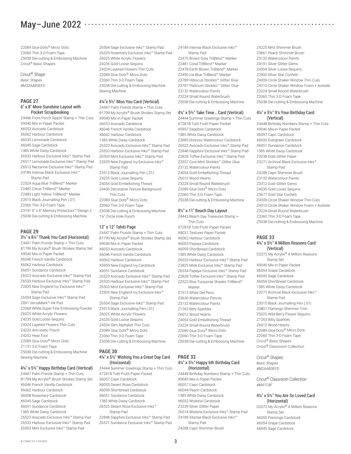# May–June 2022

Z2089 Glue Dots® Micro Dots Z2060 Thin 3-D Foam Tape Z5038 Die-cutting & Embossing Machine Cricut® Basic Shapes

#### Cricut® Shape: *Basic Shapes #M32AAB3EFD*

#### **PAGE 27** 6" x 8" More Sunshine Layout with Pocket Scrapbooking

Z4446 Front Porch Sippin' Stamp + Thin Cuts X9040 Mix-in Paper Packet X6053 Avocado Cardstock X6062 Harbour Cardstock X6035 Lemonade Cardstock X6045 Sage Cardstock 1385 White Daisy Cardstock Z6533 Harbour Exclusive Inks™ Stamp Pad Z6517 Lemonade Exclusive Inks™ Stamp Pad Z6513 Nectarine Exclusive Inks™ Stamp Pad Z4189 Intense Black Exclusive Inks™ Stamp Pad Z2524 Aqua Blue TriBlend™ Marker Z2482 Citrus TriBlend™ Marker Z2483 Light Yellow TriBlend™ Marker Z3515 Black Journalling Pen (.01) Z2060 Thin 3-D Foam Tape Z3191 6" x 8" Memory Protectors™ Design 2 Z5038 Die-cutting & Embossing Machine

#### **PAGE 29**

3½" x 8½" Thank You Card (Horizontal) Z4447 Palm Fronds Stamp + Thin Cuts B1799 My Acrylix® Brush Strokes Stamp Set X9040 Mix-in Paper Packet X6046 French Vanilla Cardstock X6062 Harbour Cardstock X6051 Sundance Cardstock Z6523 Avocado Exclusive Inks™ Stamp Pad Z6533 Harbour Exclusive Inks™ Stamp Pad Z2835 New England Ivy Exclusive Inks™ Stamp Pad Z6504 Sage Exclusive Inks™ Stamp Pad Z891 VersaMark™ Ink Pad Z2068 White Super Fine Embossing Powder Z6025 White Acrylic Flowers Z4235 Gold Loose Sequins Z4324 Layered Flowers Thin Cuts Z4220 Anti-static Pouch Z4252 Heat Tool Z2089 Glue Dots® Micro Dots Z1151 3-D Foam Tape Z5038 Die-cutting & Embossing Machine Sewing Machine

## 4¼" x 5½" Happy Birthday Card (Vertical)

Z4447 Palm Fronds Stamp + Thin Cuts B1799 My Acrylix® Brush Strokes Stamp Set X6046 French Vanilla Cardstock X6062 Harbour Cardstock X6058 Rosemary Cardstock X6045 Sage Cardstock X6051 Sundance Cardstock 1385 White Daisy Cardstock Z6523 Avocado Exclusive Inks™ Stamp Pad Z6533 Harbour Exclusive Inks™ Stamp Pad Z6503 Mint Exclusive Inks™ Stamp Pad

Z6504 Sage Exclusive Inks™ Stamp Pad Z6529 Rosemary Exclusive Inks™ Stamp Pad Z6025 White Acrylic Flowers Z4235 Gold Loose Sequins Z4324 Layered Flowers Thin Cuts Z2089 Glue Dots® Micro Dots Z2060 Thin 3-D Foam Tape Z5038 Die-cutting & Embossing Machine Sewing Machine

#### 4¼"x 5½" Miss You Card (Vertical)

Z4447 Palm Fronds Stamp + Thin Cuts B1799 My Acrylix® Brush Strokes Stamp Set X9040 Mix-in Paper Packet X6053 Avocado Cardstock X6046 French Vanilla Cardstock X6062 Harbour Cardstock 1385 White Daisy Cardstock Z6523 Avocado Exclusive Inks™ Stamp Pad Z6533 Harbour Exclusive Inks™ Stamp Pad Z6503 Mint Exclusive Inks™ Stamp Pad Z2835 New England Ivy Exclusive Inks™ Stamp Pad Z3515 Black Journalling Pen (.01) Z4235 Gold Loose Sequins Z4054 Gold Embellishing Thread Z4436 Decorative Texture Background Thin Cuts Z2089 Glue Dots® Micro Dots Z2060 Thin 3-D Foam Tape

Z5038 Die-cutting & Embossing Machine 1¼" Circle Hole Punch

#### 12" x 12" Tahiti Page

Z4447 Palm Fronds Stamp + Thin Cuts B1799 My Acrylix® Brush Strokes Stamp Set X9040 Mix-in Paper Packet X6053 Avocado Cardstock X6046 French Vanilla Cardstock X6062 Harbour Cardstock X5959 New England Ivy Cardstock X6051 Sundance Cardstock Z6523 Avocado Exclusive Inks™ Stamp Pad Z6533 Harbour Exclusive Inks™ Stamp Pad Z6503 Mint Exclusive Inks™ Stamp Pad Z2835 New England Ivy Exclusive Inks™ Stamp Pad Z6504 Sage Exclusive Inks™ Stamp Pad Z3515 Black Journalling Pen (.01) Z6025 White Acrylic Flowers Z4235 Gold Loose Sequins Z4334 Slim Alphabet Thin Cuts Z2089 Glue Dots® Micro Dots Z2060 Thin 3-D Foam Tape Z5038 Die-cutting & Embossing Machine

#### **PAGE 30** 4¼" x 5½" Wishing You a Great Day Card (Horizontal)

Z4444 Summer Greetings Stamp + Thin Cuts X7281B Tutti Frutti Paper Packet X6057 Capri Cardstock X6055 Desert Rose Cardstock X6059 Shortbread Cardstock X6051 Sundance Cardstock 1385 White Daisy Cardstock Z6525 Desert Rose Exclusive Inks™ Stamp Pad Z2848 Sapphire Exclusive Inks™ Stamp Pad Z6521 Sundance Exclusive Inks™ Stamp Pad

Z4189 Intense Black Exclusive Inks™ Stamp Pad Z2475 Brown Grey TriBlend™ Marker Z2481 Coral TriBlend™ Marker Z2478 Earth Brown TriBlend™ Marker Z2490 Ice Blue TriBlend™ Marker Z3789 Hibiscus Stickles™ Glitter Glue Z3787 Platinum Stickles™ Glitter Glue Z3132 Watercolour Paints Z3224 Small Round Waterbrush Z5038 Die-cutting & Embossing Machine

#### 4¼" x 5½" Take Time… Card (Vertical)

Z4444 Summer Greetings Stamp + Thin Cuts X7281B Tutti Frutti Paper Packet X5957 Sapphire Cardstock 1385 White Daisy Cardstock Z3885 Distress Watercolour Cardstock Z6523 Avocado Exclusive Inks™ Stamp Pad Z2848 Sapphire Exclusive Inks™ Stamp Pad Z2828 Toffee Exclusive Inks™ Stamp Pad Z3557 Cool Mint Stickles™ Glitter Glue Z3132 Watercolour Paints Z4054 Gold Embellishing Thread Z6012 Wood Hearts Z3224 Small Round Waterbrush Z2089 Glue Dots® Micro Dots Z2060 Thin 3-D Foam Tape Z5038 Die-cutting & Embossing Machine

#### 8½" x 11" Beach Day Layout

Z4443 Beach Day Treasures Stamp + Thin Cuts X7281B Tutti Frutti Paper Packet X8031 Textures Paper Packet X6062 Harbour Cardstock X6063 Papaya Cardstock X6059 Shortbread Cardstock 1385 White Daisy Cardstock Z6533 Harbour Exclusive Inks™ Stamp Pad Z2825 Mink Exclusive Inks™ Stamp Pad Z6534 Papaya Exclusive Inks™ Stamp Pad Z2828 Toffee Exclusive Inks™ Stamp Pad Z2523 Blue Turquoise Shades TriBlend™ Marker

Z1513 White Gel Pens Z3630 Watercolour Pencils Z3132 Watercolour Paints Z1263 Bitty Sparkles Z6012 Wood Hearts Z4054 Gold Embellishing Thread Z3224 Small Round Waterbrush Z2089 Glue Dots® Micro Dots Z2060 Thin 3-D Foam Tape Z5038 Die-cutting & Embossing Machine

#### **PAGE 32** 4¼" x 5½" Happy 6th Birthday Card (Horizontal)

Z4448 Birthday Numbers Stamp + Thin Cuts X9040 Mix-in Paper Packet X6057 Capri Cardstock X6044 Peach Cardstock 1385 White Daisy Cardstock X6032 Wisteria Cardstock Z3239 Silver Glitter Paper Z6514 Wisteria Exclusive Inks™ Stamp Pad Z4189 Intense Black Exclusive Inks™ Stamp Pad Z4288 Capri Shimmer Brush

Z4225 Mint Shimmer Brush Z3661 Peach Shimmer Brush Z3132 Watercolour Paints Z4191 Silver Glitter Gems Z4304 Silver Loose Sequins Z2900 Silver Star Confetti Z4309 Circle Shaker Window Thin Cuts Z4310 Circle Shaker Window Foam + Acetate Z3224 Small Round Waterbrush Z2060 Thin 3-D Foam Tape Z5038 Die-cutting & Embossing Machine

#### 4¼" x 5½" It's Your Birthday Card (Vertical)

Z4448 Birthday Numbers Stamp + Thin Cuts X9040 Mix-in Paper Packet X6057 Capri Cardstock X6030 Evergreen Cardstock X6051 Sundance Cardstock 1385 White Daisy Cardstock Z3238 Gold Glitter Paper Z3271 Archival Black Exclusive Inks™ Stamp Pad Z4288 Capri Shimmer Brush Z3132 Watercolour Paints Z3312 Gold Glitter Gems Z4235 Gold Loose Sequins Z3677 Gold Star Confetti Z4309 Circle Shaker Window Thin Cuts Z4310 Circle Shaker Window Foam + Acetate Z3224 Small Round Waterbrush Z2060 Thin 3-D Foam Tape Z5038 Die-cutting & Embossing Machine

#### **PAGE 33** 4¼" x 5½" A Million Reasons Card (Vertical)

D2072 My Acrylix® A Million Reasons Stamp Set X9040 Mix-in Paper Packet X6054 Grape Cardstock X6045 Sage Cardstock X6059 Shortbread Cardstock 1385 White Daisy Cardstock Z3271 Archival Black Exclusive Inks™ Stamp Pad Z3515 Black Journalling Pen (.01) Z3801 Flamingo Shimmer Trim Z5025 Wild Berry Flower Sequins Z1263 Bitty Sparkles Z6012 Wood Hearts Z2089 Glue Dots® Micro Dots Z2060 Thin 3-D Foam Tape Cricut® Basic Shapes Cricut® Classroom Collection

Cricut® Shapes: *Basic Shapes #M2AAB3EFD*

Cricut® Classroom Collection *#M41C8F*

#### 4¼" x 5½" You Are So Loved Card (Horizontal)

D2072 My Acrylix® A Million Reasons Stamp Set X6050 Flamingo Cardstock X6054 Grape Cardstock X6045 Sage Cardstock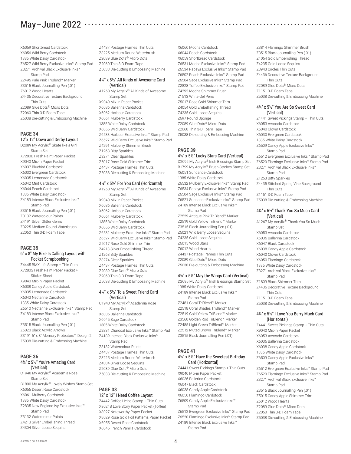X6059 Shortbread Cardstock X6056 Wild Berry Cardstock 1385 White Daisy Cardstock Z6527 Wild Berry Exclusive Inks™ Stamp Pad Z3271 Archival Black Exclusive Inks™ Stamp Pad Z2496 Pale Pink TriBlend™ Marker Z3515 Black Journalling Pen (.01) Z6012 Wood Hearts Z4436 Decorative Texture Background Thin Cuts Z2089 Glue Dots® Micro Dots Z2060 Thin 3-D Foam Tape Z5038 Die-cutting & Embossing Machine

## **PAGE 34**

12"x 12" Down and Derby Layout D2089 My Acrylix® Skate like a Girl Stamp Set X7280B Fresh Paint Paper Packet X9040 Mix-in Paper Packet X6037 Bluebird Cardstock X6030 Evergreen Cardstock X6035 Lemonade Cardstock X6042 Mint Cardstock X6044 Peach Cardstock 1385 White Daisy Cardstock Z4189 Intense Black Exclusive Inks™ Stamp Pad Z3515 Black Journalling Pen (.01) Z3132 Watercolour Paints Z4191 Silver Glitter Gems Z3225 Medium Round Waterbrush Z2060 Thin 3-D Foam Tape

#### **PAGE 35** 6" x 8" My Bike Is Calling Layout with Pocket Scrapbooking

Z4445 BMX Life Stamp + Thin Cuts X7280S Fresh Paint Paper Packet + Sticker Sheet X9040 Mix-in Paper Packet X6038 Candy Apple Cardstock X6035 Lemonade Cardstock X6043 Nectarine Cardstock 1385 White Daisy Cardstock Z6510 Nectarine Exclusive Inks™ Stamp Pad Z4189 Intense Black Exclusive Inks™ Stamp Pad Z3515 Black Journalling Pen (.01) Z6020 Black Acrylic Arrows Z3191 6" x 8" Memory Protectors™ Design 2 Z5038 Die-cutting & Embossing Machine

#### **PAGE 36** 4¼" x 5½" You're Amazing Card (Vertical)

C1940 My Acrylix® Academia Rose Stamp Set B1800 My Acrylix® Lovely Wishes Stamp Set X6055 Desert Rose Cardstock X6061 Mulberry Cardstock 1385 White Daisy Cardstock Z2835 New England Ivy Exclusive Inks™ Stamp Pad Z3132 Watercolour Paints Z4213 Silver Embellishing Thread Z4304 Silver Loose Sequins

Z4437 Postage Frames Thin Cuts Z3225 Medium Round Waterbrush Z2089 Glue Dots® Micro Dots Z2060 Thin 3-D Foam Tape Z5038 Die-cutting & Embossing Machine

#### 4¼" x 5½" All Kinds of Awesome Card (Vertical)

A1268 My Acrylix® All Kinds of Awesome Stamp Set X9040 Mix-in Paper Packet X6036 Ballerina Cardstock X6062 Harbour Cardstock X6061 Mulberry Cardstock 1385 White Daisy Cardstock X6056 Wild Berry Cardstock Z6533 Harbour Exclusive Inks™ Stamp Pad Z6527 Wild Berry Exclusive Inks™ Stamp Pad Z4291 Mulberry Shimmer Brush Z1263 Bitty Sparkles Z3274 Clear Sparkles Z5017 Rose Gold Shimmer Trim Z4437 Postage Frames Thin Cuts

# Z5038 Die-cutting & Embossing Machine 4¼" x 5½" For You Card (Horizontal)

A1268 My Acrylix® All Kinds of Awesome Stamp Set X9040 Mix-in Paper Packet X6036 Ballerina Cardstock X6062 Harbour Cardstock X6061 Mulberry Cardstock 1385 White Daisy Cardstock X6056 Wild Berry Cardstock Z6532 Mulberry Exclusive Inks™ Stamp Pad Z6527 Wild Berry Exclusive Inks™ Stamp Pad Z5017 Rose Gold Shimmer Trim Z4213 Silver Embellishing Thread Z1263 Bitty Sparkles Z3274 Clear Sparkles Z4437 Postage Frames Thin Cuts Z2089 Glue Dots® Micro Dots Z2060 Thin 3-D Foam Tape Z5038 Die-cutting & Embossing Machine

#### 4¼" x 5½" To a Sweet Friend Card (Vertical)

C1940 My Acrylix® Academia Rose Stamp Set X6036 Ballerina Cardstock X6045 Sage Cardstock 1385 White Daisy Cardstock Z2831 Charcoal Exclusive Inks™ Stamp Pad Z4189 Intense Black Exclusive Inks™ Stamp Pad Z3132 Watercolour Paints Z4437 Postage Frames Thin Cuts Z3225 Medium Round Waterbrush Z4304 Silver Loose Sequins Z2089 Glue Dots® Micro Dots

Z5038 Die-cutting & Embossing Machine

# **PAGE 38**

12" x 12" I Need Coffee Layout Z4442 Coffee Helps Stamp + Thin Cuts X8024B Love Story Paper Packet (Toffee) X8027 Noteworthy Paper Packet X8029 Rose Gold Foil Patterns Paper Packet X6055 Desert Rose Cardstock X6046 French Vanilla Cardstock

X6060 Mocha Cardstock X6044 Peach Cardstock X6059 Shortbread Cardstock Z6531 Mocha Exclusive Inks™ Stamp Pad Z6534 Papaya Exclusive Inks™ Stamp Pad Z6502 Peach Exclusive Inks™ Stamp Pad Z6504 Sage Exclusive Inks™ Stamp Pad Z2828 Toffee Exclusive Inks™ Stamp Pad Z4292 Mocha Shimmer Brush Z1513 White Gel Pens Z5017 Rose Gold Shimmer Trim Z4054 Gold Embellishing Thread Z4235 Gold Loose Sequins Z697 Round Sponge Z2089 Glue Dots® Micro Dots Z2060 Thin 3-D Foam Tape Z5038 Die-cutting & Embossing Machine

#### **PAGE 39** 4¼" x 5½" Lucky Stars Card (Vertical)

D2095 My Acrylix® Irish Blessings Stamp Set B1799 My Acrylix® Brush Strokes Stamp Set X6051 Sundance Cardstock 1385 White Daisy Cardstock Z6532 Mulberry Exclusive Inks™ Stamp Pad Z6534 Papaya Exclusive Inks™ Stamp Pad Z6504 Sage Exclusive Inks™ Stamp Pad Z6521 Sundance Exclusive Inks™ Stamp Pad Z4189 Intense Black Exclusive Inks™ Stamp Pad Z2529 Antique Pink TriBlend™ Marker Z2519 Gold Yellow TriBlend™ Marker

Z3515 Black Journalling Pen (.01) Z5021 Wild Berry Loose Sequins Z4235 Gold Loose Sequins Z6015 Wood Stars Z6012 Wood Hearts Z4437 Postage Frames Thin Cuts Z2089 Glue Dots® Micro Dots Z5038 Die-cutting & Embossing Machine

#### 4¼" x 5½" May the Wings Card (Vertical)

D2095 My Acrylix® Irish Blessings Stamp Set 1385 White Daisy Cardstock Z4189 Intense Black Exclusive Inks™ Stamp Pad Z2481 Coral TriBlend™ Marker Z2518 Coral Shades TriBlend™ Marker Z2519 Gold Yellow TriBlend™ Marker Z3560 Golden Rod TriBlend™ Marker Z2485 Light Green TriBlend™ Marker Z2512 Muted Brown TriBlend™ Marker Z3515 Black Journalling Pen (.01)

# **PAGE 41**

#### 4¼" x 5½" Have the Sweetest Birthday Card (Horizontal)

Z4441 Sweet Pickings Stamp + Thin Cuts X9040 Mix-in Paper Packet X6036 Ballerina Cardstock X6047 Black Cardstock X6038 Candy Apple Cardstock X6050 Flamingo Cardstock Z6509 Candy Apple Exclusive Inks™ Stamp Pad Z6512 Evergreen Exclusive Inks™ Stamp Pad Z6520 Flamingo Exclusive Inks™ Stamp Pad Z4189 Intense Black Exclusive Inks™

Stamp Pad

Z3814 Flamingo Shimmer Brush Z3515 Black Journalling Pen (.01) Z4054 Gold Embellishing Thread Z4235 Gold Loose Sequins Z3943 Circles Thin Cuts Z4436 Decorative Texture Background Thin Cuts Z2089 Glue Dots® Micro Dots Z1151 3-D Foam Tape Z5038 Die-cutting & Embossing Machine

#### 4¼" x 5½" You Are So Sweet Card (Vertical)

Z4441 Sweet Pickings Stamp + Thin Cuts X6053 Avocado Cardstock X6040 Clover Cardstock X6030 Evergreen Cardstock 1385 White Daisy Cardstock Z6509 Candy Apple Exclusive Inks™ Stamp Pad Z6512 Evergreen Exclusive Inks™ Stamp Pad Z6520 Flamingo Exclusive Inks™ Stamp Pad Z3271 Archival Black Exclusive Inks™ Stamp Pad Z1263 Bitty Sparkles Z4435 Stitched Spring Vine Background Thin Cuts Z1151 3-D Foam Tape Z5038 Die-cutting & Embossing Machine

#### 4¼" x 5½" Thank You So Much Card (Vertical)

A1267 My Acrylix® Thank You So Much Stamp Set X6053 Avocado Cardstock X6036 Ballerina Cardstock X6047 Black Cardstock X6038 Candy Apple Cardstock X6040 Clover Cardstock X6050 Flamingo Cardstock 1385 White Daisy Cardstock Z3271 Archival Black Exclusive Inks™ Stamp Pad Z1809 Black Shimmer Trim Z4436 Decorative Texture Background Thin Cuts Z1151 3-D Foam Tape

Z5038 Die-cutting & Embossing Machine

#### 4¼" x 5½" I Love You Berry Much Card (Horizontal)

Z4441 Sweet Pickings Stamp + Thin Cuts X9040 Mix-in Paper Packet X6053 Avocado Cardstock X6036 Ballerina Cardstock X6038 Candy Apple Cardstock 1385 White Daisy Cardstock Z6509 Candy Apple Exclusive Inks™ Stamp Pad Z6512 Evergreen Exclusive Inks™ Stamp Pad Z6520 Flamingo Exclusive Inks™ Stamp Pad Z3271 Archival Black Exclusive Inks™ Stamp Pad Z3515 Black Journalling Pen (.01) Z5015 Candy Apple Shimmer Trim Z6012 Wood Hearts Z2089 Glue Dots® Micro Dots Z2060 Thin 3-D Foam Tape Z5038 Die-cutting & Embossing Machine